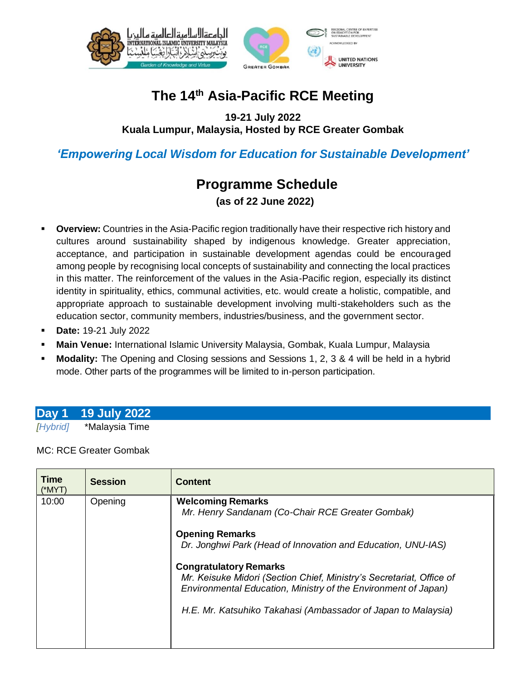



# **The 14 th Asia-Pacific RCE Meeting**

**19-21 July 2022 Kuala Lumpur, Malaysia, Hosted by RCE Greater Gombak**

## *'Empowering Local Wisdom for Education for Sustainable Development'*

# **Programme Schedule**

**(as of 22 June 2022)**

- **Overview:** Countries in the Asia-Pacific region traditionally have their respective rich history and cultures around sustainability shaped by indigenous knowledge. Greater appreciation, acceptance, and participation in sustainable development agendas could be encouraged among people by recognising local concepts of sustainability and connecting the local practices in this matter. The reinforcement of the values in the Asia-Pacific region, especially its distinct identity in spirituality, ethics, communal activities, etc. would create a holistic, compatible, and appropriate approach to sustainable development involving multi-stakeholders such as the education sector, community members, industries/business, and the government sector.
- **Date:** 19-21 July 2022
- **Main Venue:** International Islamic University Malaysia, Gombak, Kuala Lumpur, Malaysia
- **Modality:** The Opening and Closing sessions and Sessions 1, 2, 3 & 4 will be held in a hybrid mode. Other parts of the programmes will be limited to in-person participation.

## **Day 1 19 July 2022**

*[Hybrid]* \*Malaysia Time

MC: RCE Greater Gombak

| Time<br>$(*MYT)$ | <b>Session</b> | <b>Content</b>                                                                                                                                                                                                                           |
|------------------|----------------|------------------------------------------------------------------------------------------------------------------------------------------------------------------------------------------------------------------------------------------|
| 10:00            | Opening        | <b>Welcoming Remarks</b><br>Mr. Henry Sandanam (Co-Chair RCE Greater Gombak)<br><b>Opening Remarks</b><br>Dr. Jonghwi Park (Head of Innovation and Education, UNU-IAS)                                                                   |
|                  |                | <b>Congratulatory Remarks</b><br>Mr. Keisuke Midori (Section Chief, Ministry's Secretariat, Office of<br>Environmental Education, Ministry of the Environment of Japan)<br>H.E. Mr. Katsuhiko Takahasi (Ambassador of Japan to Malaysia) |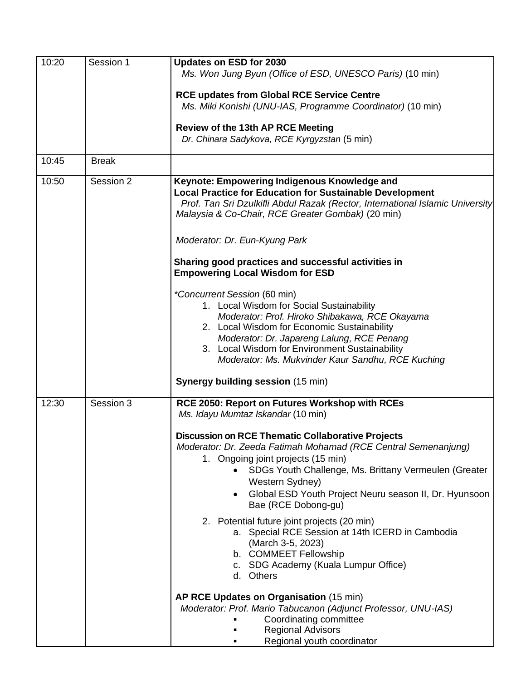| 10:20 | Session 1    | Updates on ESD for 2030<br>Ms. Won Jung Byun (Office of ESD, UNESCO Paris) (10 min)                                                                                                                                                                                                                                                        |
|-------|--------------|--------------------------------------------------------------------------------------------------------------------------------------------------------------------------------------------------------------------------------------------------------------------------------------------------------------------------------------------|
|       |              | <b>RCE updates from Global RCE Service Centre</b><br>Ms. Miki Konishi (UNU-IAS, Programme Coordinator) (10 min)                                                                                                                                                                                                                            |
|       |              | <b>Review of the 13th AP RCE Meeting</b><br>Dr. Chinara Sadykova, RCE Kyrgyzstan (5 min)                                                                                                                                                                                                                                                   |
| 10:45 | <b>Break</b> |                                                                                                                                                                                                                                                                                                                                            |
| 10:50 | Session 2    | Keynote: Empowering Indigenous Knowledge and<br><b>Local Practice for Education for Sustainable Development</b><br>Prof. Tan Sri Dzulkifli Abdul Razak (Rector, International Islamic University<br>Malaysia & Co-Chair, RCE Greater Gombak) (20 min)                                                                                      |
|       |              | Moderator: Dr. Eun-Kyung Park                                                                                                                                                                                                                                                                                                              |
|       |              | Sharing good practices and successful activities in<br><b>Empowering Local Wisdom for ESD</b>                                                                                                                                                                                                                                              |
|       |              | <i>*Concurrent Session (60 min)</i><br>1. Local Wisdom for Social Sustainability<br>Moderator: Prof. Hiroko Shibakawa, RCE Okayama<br>2. Local Wisdom for Economic Sustainability<br>Moderator: Dr. Japareng Lalung, RCE Penang<br>3. Local Wisdom for Environment Sustainability<br>Moderator: Ms. Mukvinder Kaur Sandhu, RCE Kuching     |
|       |              | Synergy building session (15 min)                                                                                                                                                                                                                                                                                                          |
| 12:30 | Session 3    | RCE 2050: Report on Futures Workshop with RCEs<br>Ms. Idayu Mumtaz Iskandar (10 min)                                                                                                                                                                                                                                                       |
|       |              | <b>Discussion on RCE Thematic Collaborative Projects</b><br>Moderator: Dr. Zeeda Fatimah Mohamad (RCE Central Semenanjung)<br>1. Ongoing joint projects (15 min)<br>SDGs Youth Challenge, Ms. Brittany Vermeulen (Greater<br>Western Sydney)<br>Global ESD Youth Project Neuru season II, Dr. Hyunsoon<br>$\bullet$<br>Bae (RCE Dobong-gu) |
|       |              | 2. Potential future joint projects (20 min)<br>a. Special RCE Session at 14th ICERD in Cambodia<br>(March 3-5, 2023)<br>b. COMMEET Fellowship<br>c. SDG Academy (Kuala Lumpur Office)<br>d. Others                                                                                                                                         |
|       |              | AP RCE Updates on Organisation (15 min)<br>Moderator: Prof. Mario Tabucanon (Adjunct Professor, UNU-IAS)<br>Coordinating committee<br><b>Regional Advisors</b><br>Regional youth coordinator                                                                                                                                               |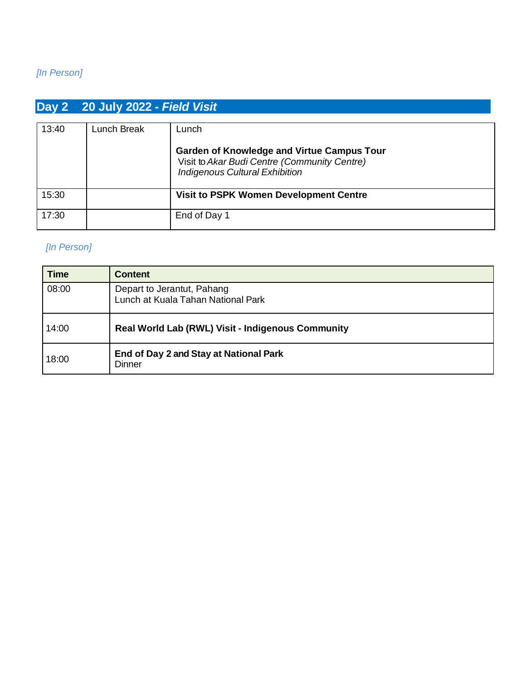### *[In Person]*

# **Day 2 20 July 2022 -** *Field Visit*

| 13:40 | Lunch Break | Lunch                                                                                                                                      |
|-------|-------------|--------------------------------------------------------------------------------------------------------------------------------------------|
|       |             | <b>Garden of Knowledge and Virtue Campus Tour</b><br>Visit to Akar Budi Centre (Community Centre)<br><b>Indigenous Cultural Exhibition</b> |
| 15:30 |             | <b>Visit to PSPK Women Development Centre</b>                                                                                              |
| 17:30 |             | End of Day 1                                                                                                                               |

#### *[In Person]*

| <b>Time</b> | <b>Content</b>                                                   |  |
|-------------|------------------------------------------------------------------|--|
| 08:00       | Depart to Jerantut, Pahang<br>Lunch at Kuala Tahan National Park |  |
| 14:00       | Real World Lab (RWL) Visit - Indigenous Community                |  |
| 18:00       | End of Day 2 and Stay at National Park<br><b>Dinner</b>          |  |